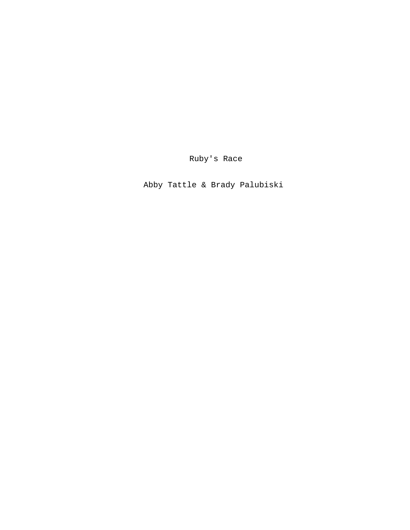Ruby's Race

Abby Tattle & Brady Palubiski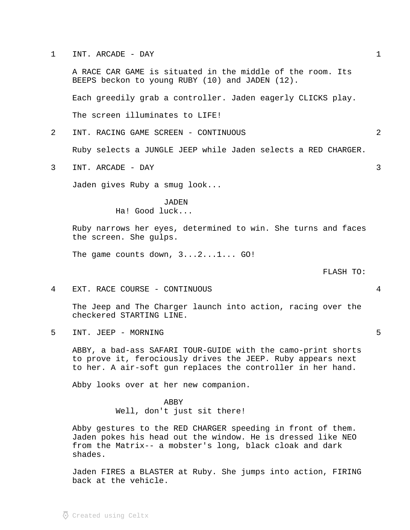1 INT. ARCADE - DAY 1

A RACE CAR GAME is situated in the middle of the room. Its BEEPS beckon to young RUBY (10) and JADEN (12).

Each greedily grab a controller. Jaden eagerly CLICKS play.

The screen illuminates to LIFE!

2 INT. RACING GAME SCREEN - CONTINUOUS 2

Ruby selects a JUNGLE JEEP while Jaden selects a RED CHARGER.

3 INT. ARCADE - DAY 3

Jaden gives Ruby a smug look...

JADEN Ha! Good luck...

Ruby narrows her eyes, determined to win. She turns and faces the screen. She gulps.

The game counts down, 3...2...1... GO!

## FLASH TO:

4 EXT. RACE COURSE - CONTINUOUS 4

The Jeep and The Charger launch into action, racing over the checkered STARTING LINE.

5 INT. JEEP - MORNING 5

ABBY, a bad-ass SAFARI TOUR-GUIDE with the camo-print shorts to prove it, ferociously drives the JEEP. Ruby appears next to her. A air-soft gun replaces the controller in her hand.

Abby looks over at her new companion.

## ABBY

Well, don't just sit there!

Abby gestures to the RED CHARGER speeding in front of them. Jaden pokes his head out the window. He is dressed like NEO from the Matrix-- a mobster's long, black cloak and dark shades.

Jaden FIRES a BLASTER at Ruby. She jumps into action, FIRING back at the vehicle.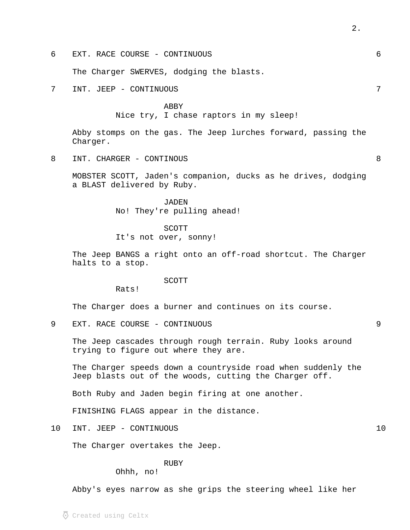6 EXT. RACE COURSE - CONTINUOUS 6

The Charger SWERVES, dodging the blasts.

7 INT. JEEP - CONTINUOUS 7

ABBY

Nice try, I chase raptors in my sleep!

Abby stomps on the gas. The Jeep lurches forward, passing the Charger.

8 INT. CHARGER - CONTINOUS 8

MOBSTER SCOTT, Jaden's companion, ducks as he drives, dodging a BLAST delivered by Ruby.

> JADEN No! They're pulling ahead!

SCOTT It's not over, sonny!

The Jeep BANGS a right onto an off-road shortcut. The Charger halts to a stop.

## SCOTT

Rats!

The Charger does a burner and continues on its course.

9 EXT. RACE COURSE - CONTINUOUS 9

The Jeep cascades through rough terrain. Ruby looks around trying to figure out where they are.

The Charger speeds down a countryside road when suddenly the Jeep blasts out of the woods, cutting the Charger off.

Both Ruby and Jaden begin firing at one another.

FINISHING FLAGS appear in the distance.

10 INT. JEEP - CONTINUOUS 10

The Charger overtakes the Jeep.

RUBY

Ohhh, no!

Abby's eyes narrow as she grips the steering wheel like her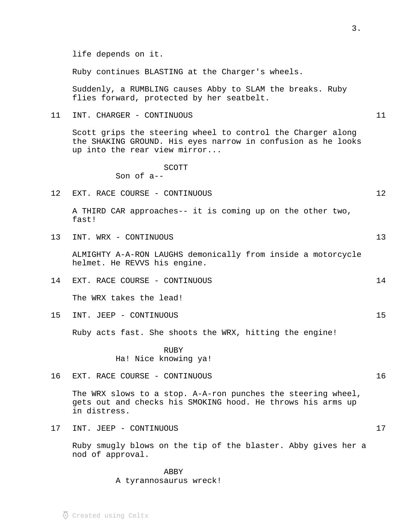life depends on it.

Ruby continues BLASTING at the Charger's wheels.

Suddenly, a RUMBLING causes Abby to SLAM the breaks. Ruby flies forward, protected by her seatbelt.

11 INT. CHARGER - CONTINUOUS 11

Scott grips the steering wheel to control the Charger along the SHAKING GROUND. His eyes narrow in confusion as he looks up into the rear view mirror...

> SCOTT Son of a--

## 12 EXT. RACE COURSE - CONTINUOUS 12

A THIRD CAR approaches-- it is coming up on the other two, fast!

13 INT. WRX - CONTINUOUS 13

ALMIGHTY A-A-RON LAUGHS demonically from inside a motorcycle helmet. He REVVS his engine.

14 EXT. RACE COURSE - CONTINUOUS 14

The WRX takes the lead!

15 INT. JEEP - CONTINUOUS 15

Ruby acts fast. She shoots the WRX, hitting the engine!

RUBY Ha! Nice knowing ya!

16 EXT. RACE COURSE - CONTINUOUS 16

The WRX slows to a stop. A-A-ron punches the steering wheel, gets out and checks his SMOKING hood. He throws his arms up in distress.

17 INT. JEEP - CONTINUOUS 17

Ruby smugly blows on the tip of the blaster. Abby gives her a nod of approval.

ABBY

A tyrannosaurus wreck!